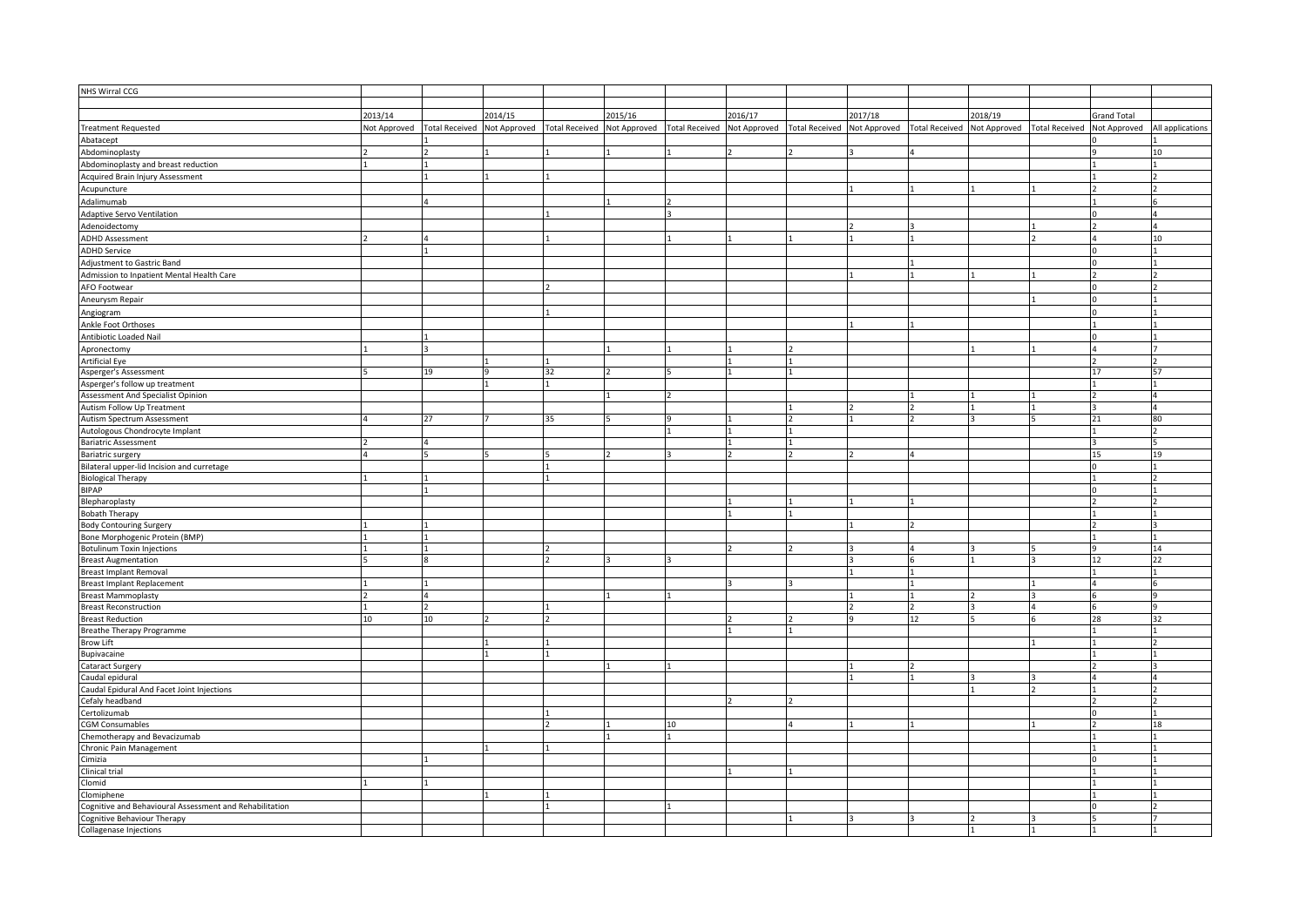| NHS Wirral CCG                                          |         |    |         |    |         |    |         |                                                                                                                                                                                                                  |    |         |                    |                  |
|---------------------------------------------------------|---------|----|---------|----|---------|----|---------|------------------------------------------------------------------------------------------------------------------------------------------------------------------------------------------------------------------|----|---------|--------------------|------------------|
|                                                         |         |    |         |    |         |    |         |                                                                                                                                                                                                                  |    |         |                    |                  |
|                                                         | 2013/14 |    | 2014/15 |    | 2015/16 |    | 2016/17 | 2017/18                                                                                                                                                                                                          |    | 2018/19 | <b>Grand Total</b> |                  |
| <b>Treatment Requested</b>                              |         |    |         |    |         |    |         | Not Approved Total Received Not Approved Total Received Not Approved Total Received Not Approved Total Received Not Approved Total Received Not Approved Total Received Not Approved Total Received Not Approved |    |         |                    | All applications |
| Abatacept                                               |         |    |         |    |         |    |         |                                                                                                                                                                                                                  |    |         |                    |                  |
| Abdominoplasty                                          |         |    |         |    |         |    |         |                                                                                                                                                                                                                  |    |         |                    | 10               |
| Abdominoplasty and breast reduction                     |         |    |         |    |         |    |         |                                                                                                                                                                                                                  |    |         |                    |                  |
| Acquired Brain Injury Assessment                        |         |    |         |    |         |    |         |                                                                                                                                                                                                                  |    |         |                    |                  |
|                                                         |         |    |         |    |         |    |         |                                                                                                                                                                                                                  |    |         |                    |                  |
| Acupuncture                                             |         |    |         |    |         |    |         |                                                                                                                                                                                                                  |    |         |                    |                  |
| Adalimumab                                              |         |    |         |    |         |    |         |                                                                                                                                                                                                                  |    |         |                    |                  |
| <b>Adaptive Servo Ventilation</b>                       |         |    |         |    |         |    |         |                                                                                                                                                                                                                  |    |         |                    |                  |
| Adenoidectomy                                           |         |    |         |    |         |    |         |                                                                                                                                                                                                                  |    |         |                    |                  |
| <b>ADHD Assessment</b>                                  |         |    |         |    |         |    |         |                                                                                                                                                                                                                  |    |         |                    | 10               |
| <b>ADHD Service</b>                                     |         |    |         |    |         |    |         |                                                                                                                                                                                                                  |    |         |                    |                  |
| Adjustment to Gastric Band                              |         |    |         |    |         |    |         |                                                                                                                                                                                                                  |    |         |                    |                  |
| Admission to Inpatient Mental Health Care               |         |    |         |    |         |    |         |                                                                                                                                                                                                                  |    |         |                    |                  |
| AFO Footwear                                            |         |    |         |    |         |    |         |                                                                                                                                                                                                                  |    |         |                    |                  |
|                                                         |         |    |         |    |         |    |         |                                                                                                                                                                                                                  |    |         |                    |                  |
| Aneurysm Repair                                         |         |    |         |    |         |    |         |                                                                                                                                                                                                                  |    |         |                    |                  |
| Angiogram                                               |         |    |         |    |         |    |         |                                                                                                                                                                                                                  |    |         |                    |                  |
| Ankle Foot Orthoses                                     |         |    |         |    |         |    |         |                                                                                                                                                                                                                  |    |         |                    |                  |
| Antibiotic Loaded Nail                                  |         |    |         |    |         |    |         |                                                                                                                                                                                                                  |    |         |                    |                  |
| Apronectomy                                             |         |    |         |    |         |    |         |                                                                                                                                                                                                                  |    |         |                    |                  |
| <b>Artificial Eye</b>                                   |         |    |         |    |         |    |         |                                                                                                                                                                                                                  |    |         |                    |                  |
| Asperger's Assessment                                   |         | 19 |         | 32 |         |    |         |                                                                                                                                                                                                                  |    |         | 17                 | 57               |
| Asperger's follow up treatment                          |         |    |         |    |         |    |         |                                                                                                                                                                                                                  |    |         |                    |                  |
| Assessment And Specialist Opinion                       |         |    |         |    |         |    |         |                                                                                                                                                                                                                  |    |         |                    |                  |
| Autism Follow Up Treatment                              |         |    |         |    |         |    |         |                                                                                                                                                                                                                  |    |         |                    |                  |
| Autism Spectrum Assessment                              |         | 27 |         | 35 |         |    |         |                                                                                                                                                                                                                  |    |         | 21                 | 80               |
| Autologous Chondrocyte Implant                          |         |    |         |    |         |    |         |                                                                                                                                                                                                                  |    |         |                    |                  |
| <b>Bariatric Assessment</b>                             |         |    |         |    |         |    |         |                                                                                                                                                                                                                  |    |         |                    |                  |
| Bariatric surgery                                       |         |    |         |    |         |    |         |                                                                                                                                                                                                                  |    |         | 15                 | 19               |
| Bilateral upper-lid Incision and curretage              |         |    |         |    |         |    |         |                                                                                                                                                                                                                  |    |         |                    |                  |
| <b>Biological Therapy</b>                               |         |    |         |    |         |    |         |                                                                                                                                                                                                                  |    |         |                    |                  |
| <b>BIPAP</b>                                            |         |    |         |    |         |    |         |                                                                                                                                                                                                                  |    |         |                    |                  |
| Blepharoplasty                                          |         |    |         |    |         |    |         |                                                                                                                                                                                                                  |    |         |                    |                  |
| <b>Bobath Therapy</b>                                   |         |    |         |    |         |    |         |                                                                                                                                                                                                                  |    |         |                    |                  |
| <b>Body Contouring Surgery</b>                          |         |    |         |    |         |    |         |                                                                                                                                                                                                                  |    |         |                    |                  |
| Bone Morphogenic Protein (BMP)                          |         |    |         |    |         |    |         |                                                                                                                                                                                                                  |    |         |                    |                  |
|                                                         |         |    |         |    |         |    |         |                                                                                                                                                                                                                  |    |         |                    |                  |
| <b>Botulinum Toxin Injections</b>                       |         |    |         |    |         |    |         |                                                                                                                                                                                                                  |    |         |                    | 14               |
| <b>Breast Augmentation</b>                              |         |    |         |    |         |    |         |                                                                                                                                                                                                                  |    |         | 12                 | 22               |
| <b>Breast Implant Removal</b>                           |         |    |         |    |         |    |         |                                                                                                                                                                                                                  |    |         |                    |                  |
| <b>Breast Implant Replacement</b>                       |         |    |         |    |         |    |         |                                                                                                                                                                                                                  |    |         |                    |                  |
| <b>Breast Mammoplasty</b>                               |         |    |         |    |         |    |         |                                                                                                                                                                                                                  |    |         |                    |                  |
| <b>Breast Reconstruction</b>                            |         |    |         |    |         |    |         |                                                                                                                                                                                                                  |    |         |                    |                  |
| <b>Breast Reduction</b>                                 | 10      | 10 |         |    |         |    |         |                                                                                                                                                                                                                  | 12 |         | 28                 |                  |
| Breathe Therapy Programme                               |         |    |         |    |         |    |         |                                                                                                                                                                                                                  |    |         |                    |                  |
| <b>Brow Lift</b>                                        |         |    |         |    |         |    |         |                                                                                                                                                                                                                  |    |         |                    |                  |
| Bupivacaine                                             |         |    |         |    |         |    |         |                                                                                                                                                                                                                  |    |         |                    |                  |
| Cataract Surgery                                        |         |    |         |    |         |    |         |                                                                                                                                                                                                                  |    |         |                    |                  |
| Caudal epidural                                         |         |    |         |    |         |    |         |                                                                                                                                                                                                                  |    |         |                    |                  |
| Caudal Epidural And Facet Joint Injections              |         |    |         |    |         |    |         |                                                                                                                                                                                                                  |    |         |                    |                  |
| Cefaly headband                                         |         |    |         |    |         |    |         |                                                                                                                                                                                                                  |    |         |                    |                  |
| Certolizumab                                            |         |    |         |    |         |    |         |                                                                                                                                                                                                                  |    |         |                    |                  |
| <b>CGM Consumables</b>                                  |         |    |         |    |         | 10 |         |                                                                                                                                                                                                                  |    |         |                    | 18               |
| Chemotherapy and Bevacizumab                            |         |    |         |    |         |    |         |                                                                                                                                                                                                                  |    |         |                    |                  |
| Chronic Pain Management                                 |         |    |         |    |         |    |         |                                                                                                                                                                                                                  |    |         |                    |                  |
| Cimizia                                                 |         |    |         |    |         |    |         |                                                                                                                                                                                                                  |    |         |                    |                  |
| Clinical trial                                          |         |    |         |    |         |    |         |                                                                                                                                                                                                                  |    |         |                    |                  |
| Clomid                                                  |         |    |         |    |         |    |         |                                                                                                                                                                                                                  |    |         |                    |                  |
| Clomiphene                                              |         |    |         |    |         |    |         |                                                                                                                                                                                                                  |    |         |                    |                  |
| Cognitive and Behavioural Assessment and Rehabilitation |         |    |         |    |         |    |         |                                                                                                                                                                                                                  |    |         |                    |                  |
| Cognitive Behaviour Therapy                             |         |    |         |    |         |    |         |                                                                                                                                                                                                                  |    |         |                    |                  |
| Collagenase Injections                                  |         |    |         |    |         |    |         |                                                                                                                                                                                                                  |    |         |                    |                  |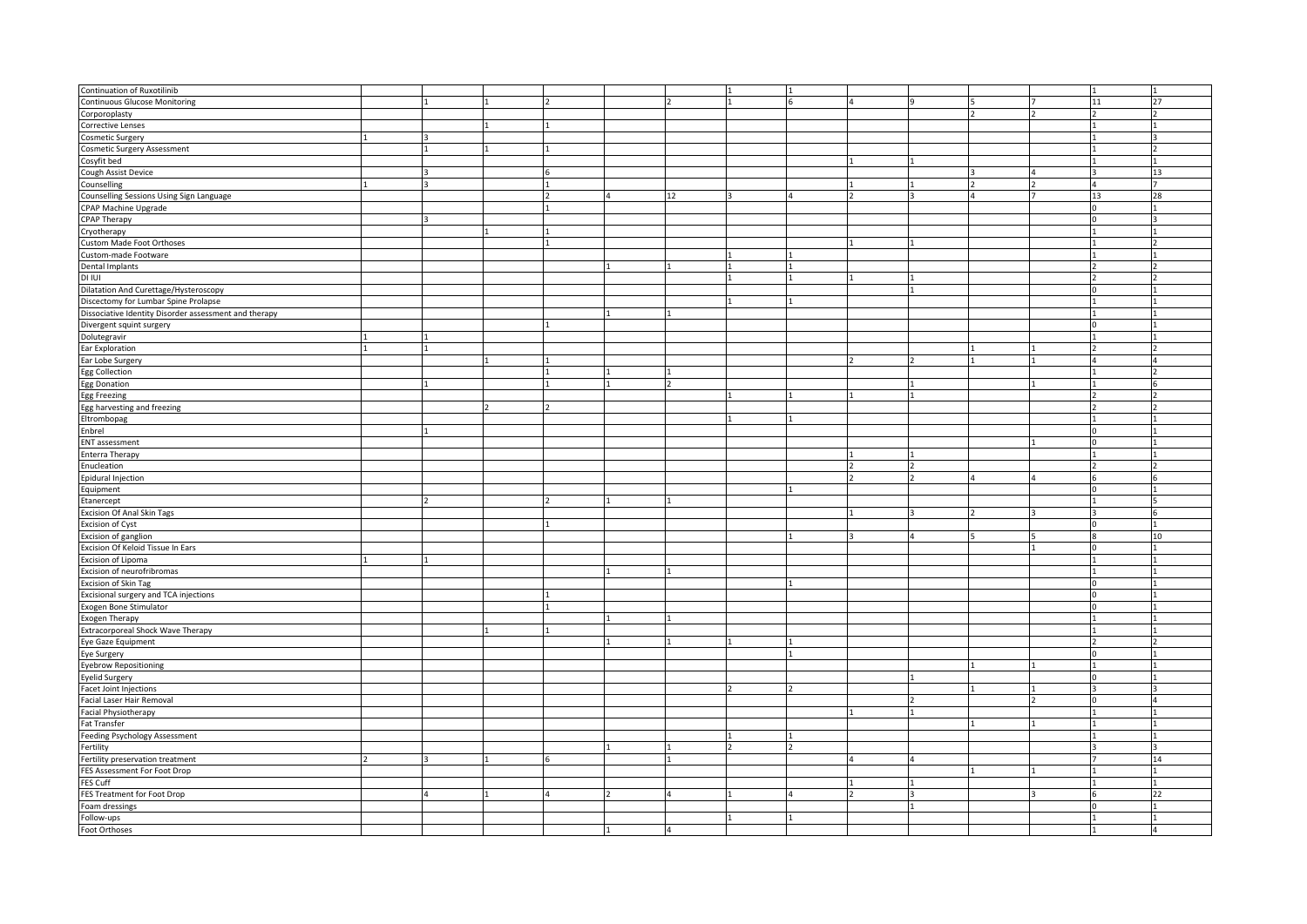| Continuation of Ruxotilinib                           |  |  |    |  |              |  |    |    |
|-------------------------------------------------------|--|--|----|--|--------------|--|----|----|
| <b>Continuous Glucose Monitoring</b>                  |  |  |    |  | $\mathbf{q}$ |  | 11 | 27 |
| Corporoplasty                                         |  |  |    |  |              |  |    |    |
| <b>Corrective Lenses</b>                              |  |  |    |  |              |  |    |    |
| Cosmetic Surgery                                      |  |  |    |  |              |  |    |    |
| <b>Cosmetic Surgery Assessment</b>                    |  |  |    |  |              |  |    |    |
| Cosyfit bed                                           |  |  |    |  |              |  |    |    |
|                                                       |  |  |    |  |              |  |    | 13 |
| Cough Assist Device                                   |  |  |    |  |              |  |    |    |
| Counselling                                           |  |  |    |  |              |  |    |    |
| Counselling Sessions Using Sign Language              |  |  | 12 |  |              |  | 13 | 28 |
| CPAP Machine Upgrade                                  |  |  |    |  |              |  |    |    |
| <b>CPAP Therapy</b>                                   |  |  |    |  |              |  |    |    |
| Cryotherapy                                           |  |  |    |  |              |  |    |    |
| Custom Made Foot Orthoses                             |  |  |    |  |              |  |    |    |
| Custom-made Footware                                  |  |  |    |  |              |  |    |    |
| Dental Implants                                       |  |  |    |  |              |  |    |    |
| <b>DI IUI</b>                                         |  |  |    |  |              |  |    |    |
|                                                       |  |  |    |  |              |  |    |    |
| Dilatation And Curettage/Hysteroscopy                 |  |  |    |  |              |  |    |    |
| Discectomy for Lumbar Spine Prolapse                  |  |  |    |  |              |  |    |    |
| Dissociative Identity Disorder assessment and therapy |  |  |    |  |              |  |    |    |
| Divergent squint surgery                              |  |  |    |  |              |  |    |    |
| Dolutegravir                                          |  |  |    |  |              |  |    |    |
| Ear Exploration                                       |  |  |    |  |              |  |    |    |
| Ear Lobe Surgery                                      |  |  |    |  |              |  |    |    |
|                                                       |  |  |    |  |              |  |    |    |
| <b>Egg Collection</b>                                 |  |  |    |  |              |  |    |    |
| <b>Egg Donation</b>                                   |  |  |    |  |              |  |    |    |
| Egg Freezing                                          |  |  |    |  |              |  |    |    |
| Egg harvesting and freezing                           |  |  |    |  |              |  |    |    |
| Eltrombopag                                           |  |  |    |  |              |  |    |    |
| Enbrel                                                |  |  |    |  |              |  |    |    |
| <b>ENT</b> assessment                                 |  |  |    |  |              |  |    |    |
| <b>Enterra Therapy</b>                                |  |  |    |  |              |  |    |    |
| Enucleation                                           |  |  |    |  |              |  |    |    |
|                                                       |  |  |    |  |              |  |    |    |
| Epidural Injection                                    |  |  |    |  |              |  |    |    |
| Equipment                                             |  |  |    |  |              |  |    |    |
| Etanercept                                            |  |  |    |  |              |  |    |    |
| <b>Excision Of Anal Skin Tags</b>                     |  |  |    |  |              |  |    |    |
| <b>Excision of Cyst</b>                               |  |  |    |  |              |  |    |    |
| Excision of ganglion                                  |  |  |    |  |              |  |    | 10 |
| Excision Of Keloid Tissue In Ears                     |  |  |    |  |              |  |    |    |
|                                                       |  |  |    |  |              |  |    |    |
| Excision of Lipoma                                    |  |  |    |  |              |  |    |    |
| Excision of neurofribromas                            |  |  |    |  |              |  |    |    |
| Excision of Skin Tag                                  |  |  |    |  |              |  |    |    |
| Excisional surgery and TCA injections                 |  |  |    |  |              |  |    |    |
| Exogen Bone Stimulator                                |  |  |    |  |              |  |    |    |
| <b>Exogen Therapy</b>                                 |  |  |    |  |              |  |    |    |
| Extracorporeal Shock Wave Therapy                     |  |  |    |  |              |  |    |    |
| Eye Gaze Equipment                                    |  |  |    |  |              |  |    |    |
| Eye Surgery                                           |  |  |    |  |              |  |    |    |
|                                                       |  |  |    |  |              |  |    |    |
| <b>Eyebrow Repositioning</b>                          |  |  |    |  |              |  |    |    |
| <b>Eyelid Surgery</b>                                 |  |  |    |  |              |  |    |    |
| Facet Joint Injections                                |  |  |    |  |              |  |    |    |
| Facial Laser Hair Removal                             |  |  |    |  |              |  |    |    |
| Facial Physiotherapy                                  |  |  |    |  |              |  |    |    |
| Fat Transfer                                          |  |  |    |  |              |  |    |    |
| Feeding Psychology Assessment                         |  |  |    |  |              |  |    |    |
| Fertility                                             |  |  |    |  |              |  |    |    |
|                                                       |  |  |    |  |              |  |    | 14 |
| Fertility preservation treatment                      |  |  |    |  |              |  |    |    |
| FES Assessment For Foot Drop                          |  |  |    |  |              |  |    |    |
| FES Cuff                                              |  |  |    |  |              |  |    |    |
| FES Treatment for Foot Drop                           |  |  |    |  |              |  |    | 22 |
| Foam dressings                                        |  |  |    |  |              |  |    |    |
| Follow-ups                                            |  |  |    |  |              |  |    |    |
| Foot Orthoses                                         |  |  |    |  |              |  |    |    |
|                                                       |  |  |    |  |              |  |    |    |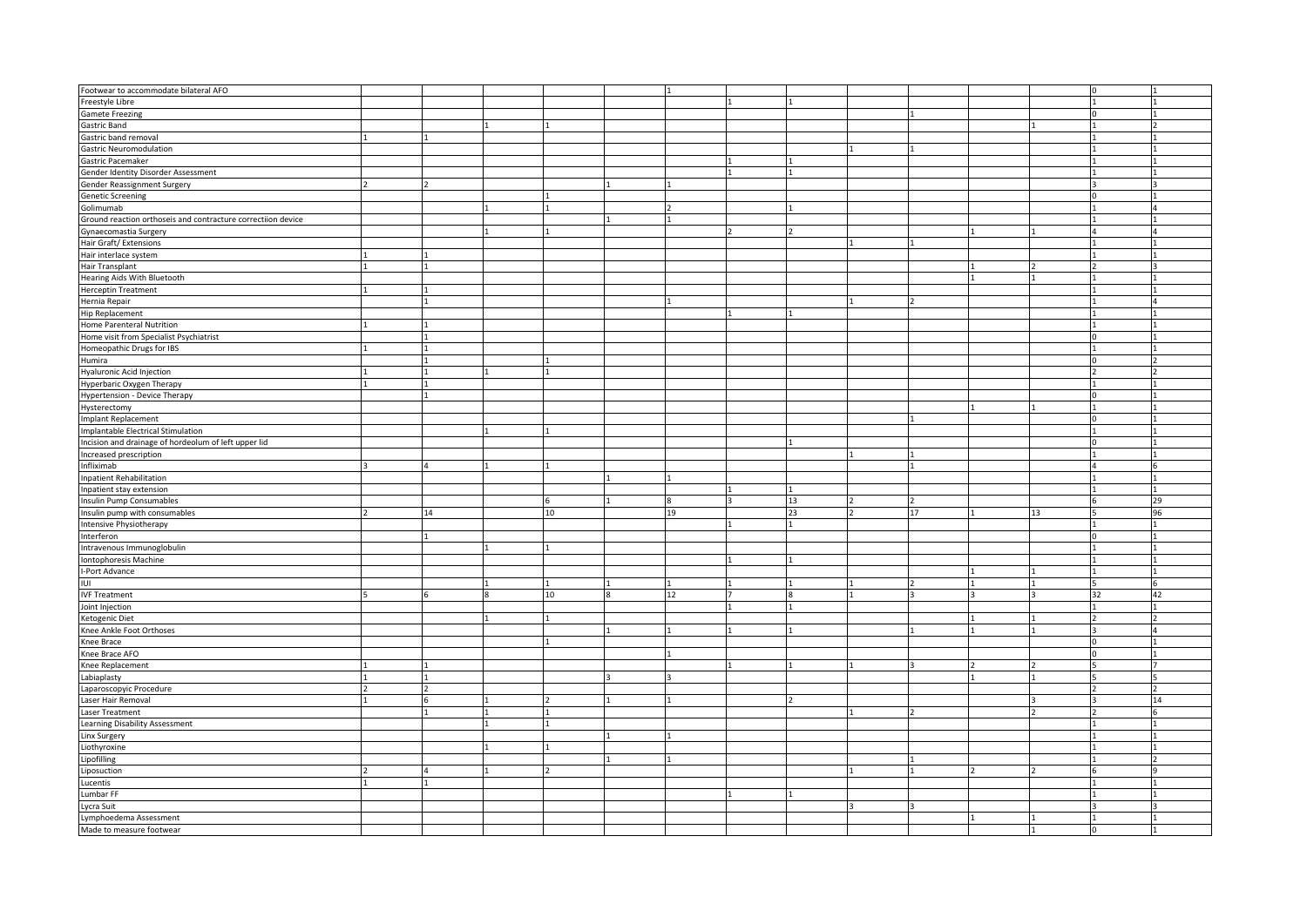| Footwear to accommodate bilateral AFO                        |    |    |    |    |    |    |    |
|--------------------------------------------------------------|----|----|----|----|----|----|----|
| Freestyle Libre                                              |    |    |    |    |    |    |    |
| <b>Gamete Freezing</b>                                       |    |    |    |    |    |    |    |
| <b>Gastric Band</b>                                          |    |    |    |    |    |    |    |
| Gastric band removal                                         |    |    |    |    |    |    |    |
|                                                              |    |    |    |    |    |    |    |
| <b>Gastric Neuromodulation</b>                               |    |    |    |    |    |    |    |
| Gastric Pacemaker                                            |    |    |    |    |    |    |    |
| Gender Identity Disorder Assessment                          |    |    |    |    |    |    |    |
| Gender Reassignment Surgery                                  |    |    |    |    |    |    |    |
| <b>Genetic Screening</b>                                     |    |    |    |    |    |    |    |
| Golimumab                                                    |    |    |    |    |    |    |    |
|                                                              |    |    |    |    |    |    |    |
| Ground reaction orthoseis and contracture correctiion device |    |    |    |    |    |    |    |
| Gynaecomastia Surgery                                        |    |    |    |    |    |    |    |
| Hair Graft/ Extensions                                       |    |    |    |    |    |    |    |
| Hair interlace system                                        |    |    |    |    |    |    |    |
|                                                              |    |    |    |    |    |    |    |
| Hair Transplant                                              |    |    |    |    |    |    |    |
| Hearing Aids With Bluetooth                                  |    |    |    |    |    |    |    |
| <b>Herceptin Treatment</b>                                   |    |    |    |    |    |    |    |
| Hernia Repair                                                |    |    |    |    |    |    |    |
| <b>Hip Replacement</b>                                       |    |    |    |    |    |    |    |
|                                                              |    |    |    |    |    |    |    |
| Home Parenteral Nutrition                                    |    |    |    |    |    |    |    |
| Home visit from Specialist Psychiatrist                      |    |    |    |    |    |    |    |
| Homeopathic Drugs for IBS                                    |    |    |    |    |    |    |    |
| Humira                                                       |    |    |    |    |    |    |    |
|                                                              |    |    |    |    |    |    |    |
| Hyaluronic Acid Injection                                    |    |    |    |    |    |    |    |
| Hyperbaric Oxygen Therapy                                    |    |    |    |    |    |    |    |
| <b>Hypertension - Device Therapy</b>                         |    |    |    |    |    |    |    |
| Hysterectomy                                                 |    |    |    |    |    |    |    |
| Implant Replacement                                          |    |    |    |    |    |    |    |
|                                                              |    |    |    |    |    |    |    |
| <b>Implantable Electrical Stimulation</b>                    |    |    |    |    |    |    |    |
| Incision and drainage of hordeolum of left upper lid         |    |    |    |    |    |    |    |
|                                                              |    |    |    |    |    |    |    |
| Increased prescription                                       |    |    |    |    |    |    |    |
|                                                              |    |    |    |    |    |    |    |
| Infliximab                                                   |    |    |    |    |    |    |    |
| <b>Inpatient Rehabilitation</b>                              |    |    |    |    |    |    |    |
| Inpatient stay extension                                     |    |    |    |    |    |    |    |
| <b>Insulin Pump Consumables</b>                              |    | 6  |    | 13 |    |    | 29 |
| Insulin pump with consumables                                | 14 | 10 | 19 | 23 | 17 | 13 | 96 |
|                                                              |    |    |    |    |    |    |    |
| Intensive Physiotherapy                                      |    |    |    |    |    |    |    |
| Interferon                                                   |    |    |    |    |    |    |    |
| Intravenous Immunoglobulin                                   |    |    |    |    |    |    |    |
| Iontophoresis Machine                                        |    |    |    |    |    |    |    |
|                                                              |    |    |    |    |    |    |    |
| I-Port Advance                                               |    |    |    |    |    |    |    |
| IUI                                                          |    |    |    |    |    |    |    |
| <b>IVF Treatment</b>                                         |    | 10 | 12 |    |    |    | 42 |
| Joint Injection                                              |    |    |    |    |    |    |    |
| Ketogenic Diet                                               |    |    |    |    |    |    |    |
|                                                              |    |    |    |    |    |    |    |
| Knee Ankle Foot Orthoses                                     |    |    |    |    |    |    |    |
| Knee Brace                                                   |    |    |    |    |    |    |    |
| Knee Brace AFO                                               |    |    |    |    |    |    |    |
| Knee Replacement                                             |    |    |    |    |    |    |    |
| Labiaplasty                                                  |    |    |    |    |    |    |    |
|                                                              |    |    |    |    |    |    |    |
| Laparoscopyic Procedure                                      |    |    |    |    |    |    |    |
| Laser Hair Removal                                           |    |    |    |    |    |    | 14 |
| Laser Treatment                                              |    |    |    |    |    |    |    |
| Learning Disability Assessment                               |    |    |    |    |    |    |    |
| Linx Surgery                                                 |    |    |    |    |    |    |    |
|                                                              |    |    |    |    |    |    |    |
| Liothyroxine                                                 |    |    |    |    |    |    |    |
| Lipofilling                                                  |    |    |    |    |    |    |    |
| Liposuction                                                  |    |    |    |    |    |    |    |
| Lucentis                                                     |    |    |    |    |    |    |    |
|                                                              |    |    |    |    |    |    |    |
| Lumbar FF                                                    |    |    |    |    |    |    |    |
| Lycra Suit                                                   |    |    |    |    |    |    |    |
| Lymphoedema Assessment<br>Made to measure footwear           |    |    |    |    |    |    |    |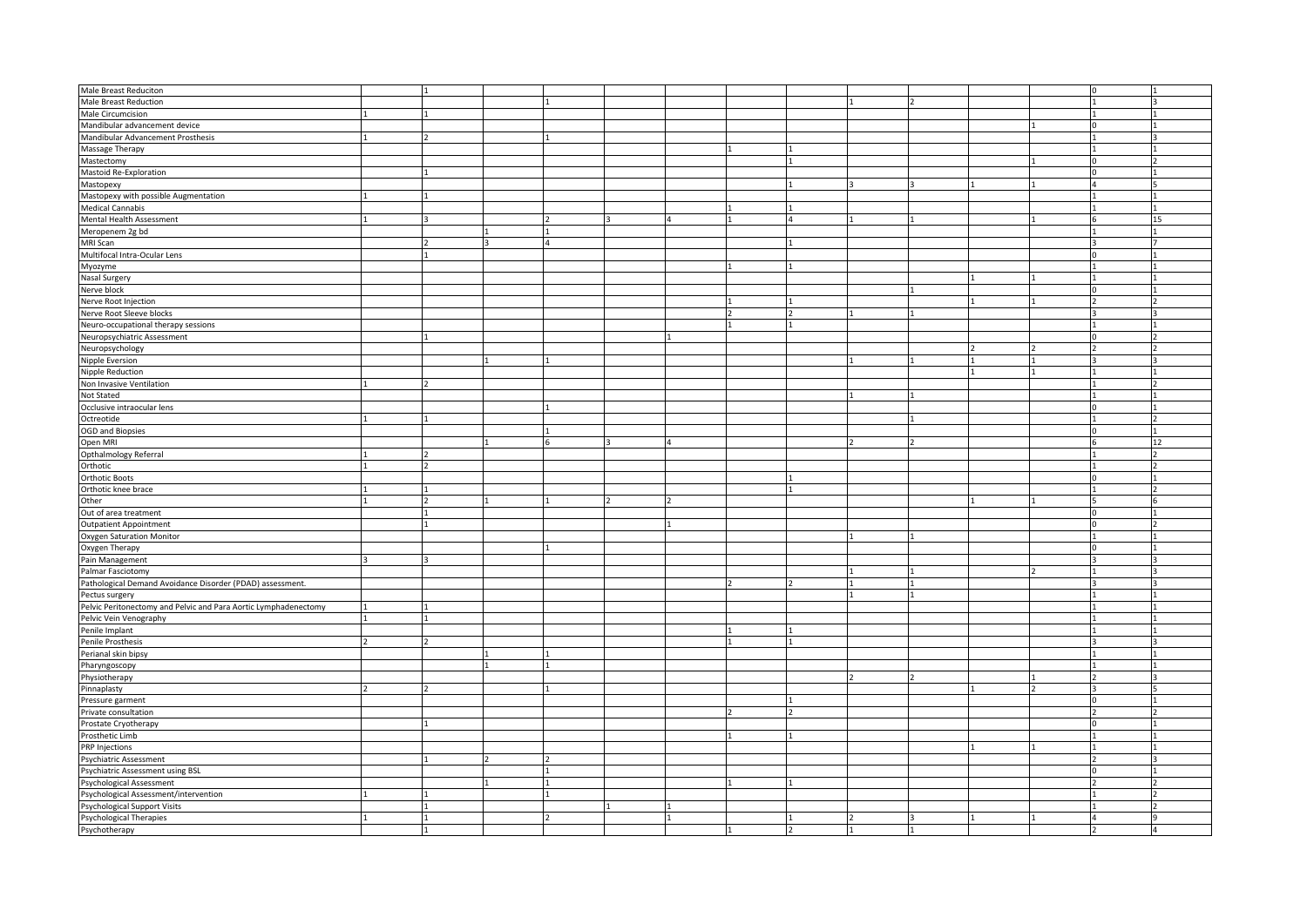| Male Breast Reduciton                                           |  |  |   |  |  |  |    |
|-----------------------------------------------------------------|--|--|---|--|--|--|----|
| <b>Male Breast Reduction</b>                                    |  |  |   |  |  |  |    |
| Male Circumcision                                               |  |  |   |  |  |  |    |
| Mandibular advancement device                                   |  |  |   |  |  |  |    |
| Mandibular Advancement Prosthesis                               |  |  |   |  |  |  |    |
|                                                                 |  |  |   |  |  |  |    |
| Massage Therapy                                                 |  |  |   |  |  |  |    |
| Mastectomy                                                      |  |  |   |  |  |  |    |
| Mastoid Re-Exploration                                          |  |  |   |  |  |  |    |
| Mastopexy                                                       |  |  |   |  |  |  |    |
| Mastopexy with possible Augmentation                            |  |  |   |  |  |  |    |
|                                                                 |  |  |   |  |  |  |    |
| <b>Medical Cannabis</b>                                         |  |  |   |  |  |  |    |
| Mental Health Assessment                                        |  |  |   |  |  |  | 15 |
| Meropenem 2g bd                                                 |  |  |   |  |  |  |    |
| MRI Scan                                                        |  |  |   |  |  |  |    |
| Multifocal Intra-Ocular Lens                                    |  |  |   |  |  |  |    |
| Myozyme                                                         |  |  |   |  |  |  |    |
|                                                                 |  |  |   |  |  |  |    |
| <b>Nasal Surgery</b>                                            |  |  |   |  |  |  |    |
| Nerve block                                                     |  |  |   |  |  |  |    |
| Nerve Root Injection                                            |  |  |   |  |  |  |    |
| Nerve Root Sleeve blocks                                        |  |  |   |  |  |  |    |
| Neuro-occupational therapy sessions                             |  |  |   |  |  |  |    |
| Neuropsychiatric Assessment                                     |  |  |   |  |  |  |    |
|                                                                 |  |  |   |  |  |  |    |
| Neuropsychology                                                 |  |  |   |  |  |  |    |
| Nipple Eversion                                                 |  |  |   |  |  |  |    |
| Nipple Reduction                                                |  |  |   |  |  |  |    |
| Non Invasive Ventilation                                        |  |  |   |  |  |  |    |
| Not Stated                                                      |  |  |   |  |  |  |    |
|                                                                 |  |  |   |  |  |  |    |
| Occlusive intraocular lens                                      |  |  |   |  |  |  |    |
| Octreotide                                                      |  |  |   |  |  |  |    |
| <b>OGD and Biopsies</b>                                         |  |  |   |  |  |  |    |
| Open MRI                                                        |  |  | Δ |  |  |  | 12 |
| Opthalmology Referral                                           |  |  |   |  |  |  |    |
| Orthotic                                                        |  |  |   |  |  |  |    |
|                                                                 |  |  |   |  |  |  |    |
| <b>Orthotic Boots</b>                                           |  |  |   |  |  |  |    |
| Orthotic knee brace                                             |  |  |   |  |  |  |    |
| Other                                                           |  |  |   |  |  |  |    |
| Out of area treatment                                           |  |  |   |  |  |  |    |
| <b>Outpatient Appointment</b>                                   |  |  |   |  |  |  |    |
| Oxygen Saturation Monitor                                       |  |  |   |  |  |  |    |
|                                                                 |  |  |   |  |  |  |    |
| Oxygen Therapy                                                  |  |  |   |  |  |  |    |
| Pain Management                                                 |  |  |   |  |  |  |    |
| Palmar Fasciotomy                                               |  |  |   |  |  |  |    |
| Pathological Demand Avoidance Disorder (PDAD) assessment.       |  |  |   |  |  |  |    |
| Pectus surgery                                                  |  |  |   |  |  |  |    |
|                                                                 |  |  |   |  |  |  |    |
| Pelvic Peritonectomy and Pelvic and Para Aortic Lymphadenectomy |  |  |   |  |  |  |    |
| Pelvic Vein Venography                                          |  |  |   |  |  |  |    |
| Penile Implant                                                  |  |  |   |  |  |  |    |
| Penile Prosthesis                                               |  |  |   |  |  |  |    |
| Perianal skin bipsy                                             |  |  |   |  |  |  |    |
| Pharyngoscopy                                                   |  |  |   |  |  |  |    |
|                                                                 |  |  |   |  |  |  |    |
| Physiotherapy                                                   |  |  |   |  |  |  |    |
| Pinnaplasty                                                     |  |  |   |  |  |  |    |
| Pressure garment                                                |  |  |   |  |  |  |    |
| Private consultation                                            |  |  |   |  |  |  |    |
| Prostate Cryotherapy                                            |  |  |   |  |  |  |    |
| Prosthetic Limb                                                 |  |  |   |  |  |  |    |
|                                                                 |  |  |   |  |  |  |    |
| <b>PRP Injections</b>                                           |  |  |   |  |  |  |    |
| Psychiatric Assessment                                          |  |  |   |  |  |  |    |
| Psychiatric Assessment using BSL                                |  |  |   |  |  |  |    |
| Psychological Assessment                                        |  |  |   |  |  |  |    |
| Psychological Assessment/intervention                           |  |  |   |  |  |  |    |
|                                                                 |  |  |   |  |  |  |    |
| Psychological Support Visits                                    |  |  |   |  |  |  |    |
| Psychological Therapies                                         |  |  |   |  |  |  |    |
| Psychotherapy                                                   |  |  |   |  |  |  |    |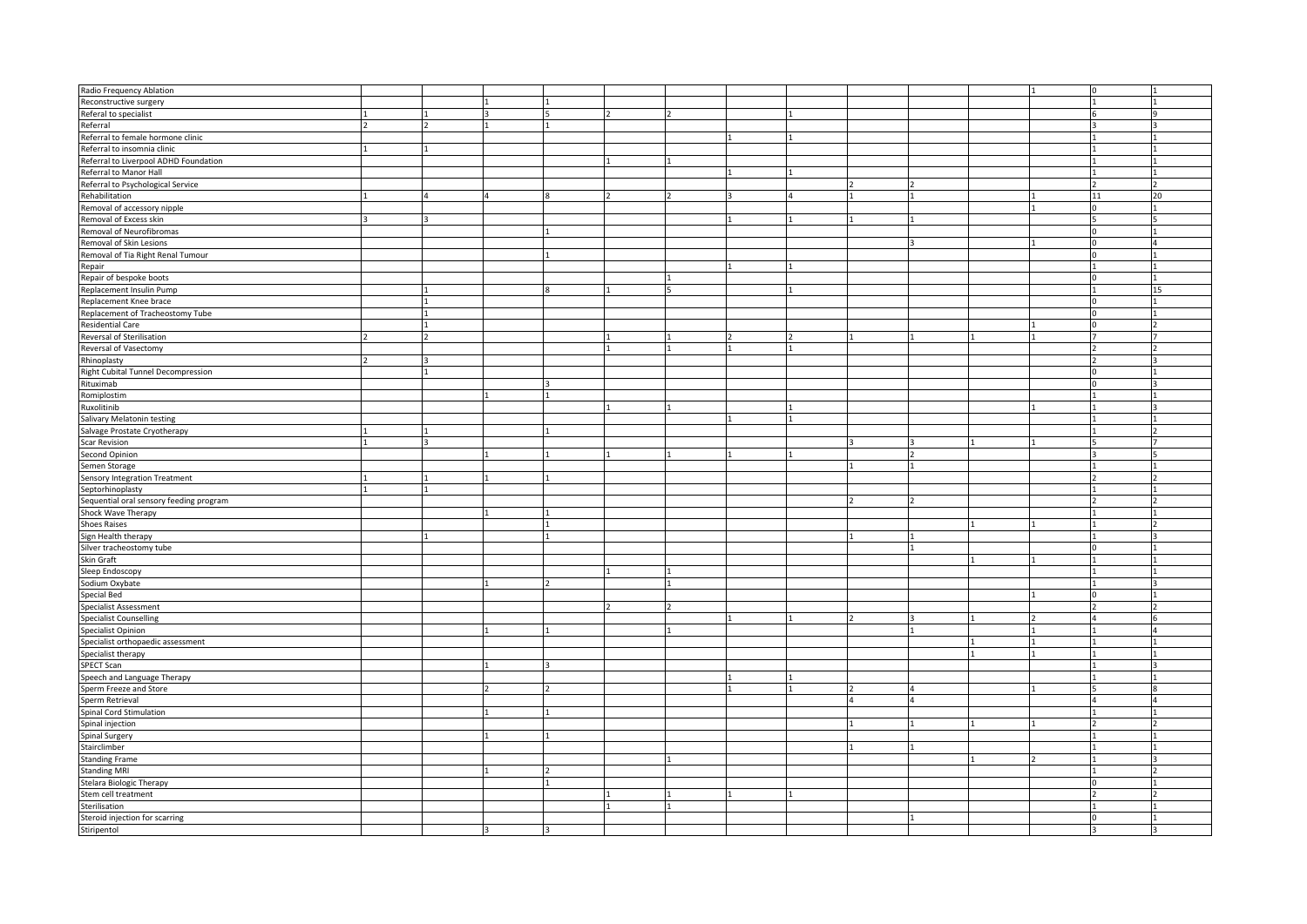| Radio Frequency Ablation                |  |  |  |  |  |  |    |    |
|-----------------------------------------|--|--|--|--|--|--|----|----|
| Reconstructive surgery                  |  |  |  |  |  |  |    |    |
| Referal to specialist                   |  |  |  |  |  |  |    |    |
| Referral                                |  |  |  |  |  |  |    |    |
| Referral to female hormone clinic       |  |  |  |  |  |  |    |    |
| Referral to insomnia clinic             |  |  |  |  |  |  |    |    |
| Referral to Liverpool ADHD Foundation   |  |  |  |  |  |  |    |    |
| Referral to Manor Hall                  |  |  |  |  |  |  |    |    |
| Referral to Psychological Service       |  |  |  |  |  |  |    |    |
|                                         |  |  |  |  |  |  | 11 | 20 |
| Rehabilitation                          |  |  |  |  |  |  |    |    |
| Removal of accessory nipple             |  |  |  |  |  |  |    |    |
| Removal of Excess skin                  |  |  |  |  |  |  |    |    |
| Removal of Neurofibromas                |  |  |  |  |  |  |    |    |
| Removal of Skin Lesions                 |  |  |  |  |  |  |    |    |
| Removal of Tia Right Renal Tumour       |  |  |  |  |  |  |    |    |
| Repair                                  |  |  |  |  |  |  |    |    |
| Repair of bespoke boots                 |  |  |  |  |  |  |    |    |
| Replacement Insulin Pump                |  |  |  |  |  |  |    | 15 |
| Replacement Knee brace                  |  |  |  |  |  |  |    |    |
|                                         |  |  |  |  |  |  |    |    |
| Replacement of Tracheostomy Tube        |  |  |  |  |  |  |    |    |
| <b>Residential Care</b>                 |  |  |  |  |  |  |    |    |
| Reversal of Sterilisation               |  |  |  |  |  |  |    |    |
| Reversal of Vasectomy                   |  |  |  |  |  |  |    |    |
| Rhinoplasty                             |  |  |  |  |  |  |    |    |
| Right Cubital Tunnel Decompression      |  |  |  |  |  |  |    |    |
| Rituximab                               |  |  |  |  |  |  |    |    |
| Romiplostim                             |  |  |  |  |  |  |    |    |
| Ruxolitinib                             |  |  |  |  |  |  |    |    |
| Salivary Melatonin testing              |  |  |  |  |  |  |    |    |
| Salvage Prostate Cryotherapy            |  |  |  |  |  |  |    |    |
|                                         |  |  |  |  |  |  |    |    |
| <b>Scar Revision</b>                    |  |  |  |  |  |  |    |    |
| <b>Second Opinion</b>                   |  |  |  |  |  |  |    |    |
| Semen Storage                           |  |  |  |  |  |  |    |    |
| Sensory Integration Treatment           |  |  |  |  |  |  |    |    |
| Septorhinoplasty                        |  |  |  |  |  |  |    |    |
| Sequential oral sensory feeding program |  |  |  |  |  |  |    |    |
| Shock Wave Therapy                      |  |  |  |  |  |  |    |    |
| <b>Shoes Raises</b>                     |  |  |  |  |  |  |    |    |
| Sign Health therapy                     |  |  |  |  |  |  |    |    |
| Silver tracheostomy tube                |  |  |  |  |  |  |    |    |
| Skin Graft                              |  |  |  |  |  |  |    |    |
| Sleep Endoscopy                         |  |  |  |  |  |  |    |    |
|                                         |  |  |  |  |  |  |    |    |
| Sodium Oxybate                          |  |  |  |  |  |  |    |    |
| <b>Special Bed</b>                      |  |  |  |  |  |  |    |    |
| <b>Specialist Assessment</b>            |  |  |  |  |  |  |    |    |
| <b>Specialist Counselling</b>           |  |  |  |  |  |  |    |    |
| Specialist Opinion                      |  |  |  |  |  |  |    |    |
| Specialist orthopaedic assessment       |  |  |  |  |  |  |    |    |
| Specialist therapy                      |  |  |  |  |  |  |    |    |
| SPECT Scan                              |  |  |  |  |  |  |    |    |
| Speech and Language Therapy             |  |  |  |  |  |  |    |    |
| Sperm Freeze and Store                  |  |  |  |  |  |  |    |    |
| Sperm Retrieval                         |  |  |  |  |  |  |    |    |
|                                         |  |  |  |  |  |  |    |    |
| Spinal Cord Stimulation                 |  |  |  |  |  |  |    |    |
| Spinal injection                        |  |  |  |  |  |  |    |    |
| Spinal Surgery                          |  |  |  |  |  |  |    |    |
| Stairclimber                            |  |  |  |  |  |  |    |    |
| <b>Standing Frame</b>                   |  |  |  |  |  |  |    |    |
| <b>Standing MRI</b>                     |  |  |  |  |  |  |    |    |
| Stelara Biologic Therapy                |  |  |  |  |  |  |    |    |
| Stem cell treatment                     |  |  |  |  |  |  |    |    |
| Sterilisation                           |  |  |  |  |  |  |    |    |
| Steroid injection for scarring          |  |  |  |  |  |  |    |    |
|                                         |  |  |  |  |  |  |    |    |
| Stiripentol                             |  |  |  |  |  |  |    |    |